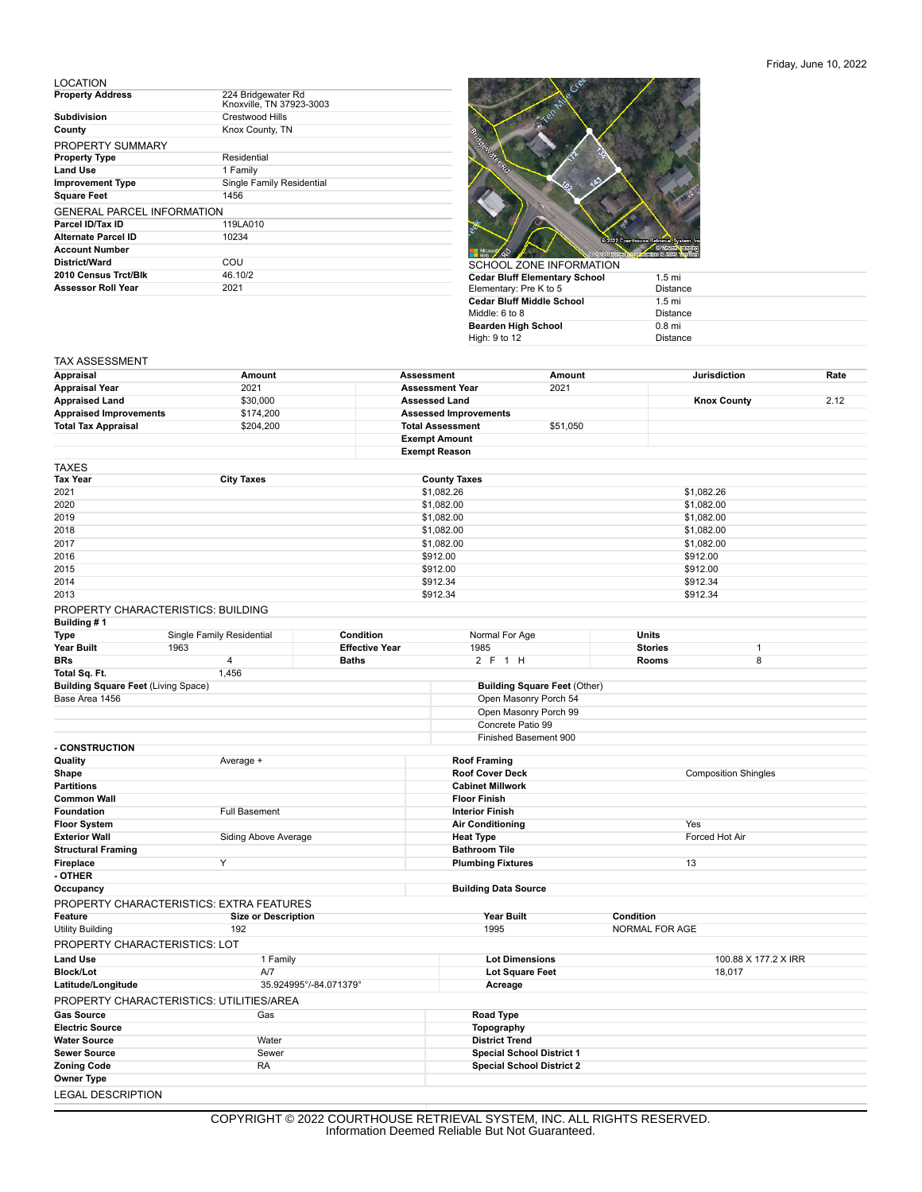## Friday, June 10, 2022

LOCATION

| <b>Property Address</b>           | 224 Bridgewater Rd<br>Knoxville, TN 37923-3003 |
|-----------------------------------|------------------------------------------------|
| <b>Subdivision</b>                | Crestwood Hills                                |
| County                            | Knox County, TN                                |
| PROPERTY SUMMARY                  |                                                |
| <b>Property Type</b>              | Residential                                    |
| <b>Land Use</b>                   | 1 Family                                       |
| <b>Improvement Type</b>           | Single Family Residential                      |
| <b>Square Feet</b>                | 1456                                           |
| <b>GENERAL PARCEL INFORMATION</b> |                                                |
| Parcel ID/Tax ID                  | 119LA010                                       |
| Alternate Parcel ID               | 10234                                          |
| <b>Account Number</b>             |                                                |
| District/Ward                     | COU                                            |
| 2010 Census Trct/Blk              | 46.10/2                                        |
| <b>Assessor Roll Year</b>         | 2021                                           |



| <u>JUITUUL LUNLIINI UINIMITUIN</u> |                  |
|------------------------------------|------------------|
| Cedar Bluff Elementary School      | $1.5 \text{ mi}$ |
| Elementary: Pre K to 5             | <b>Distance</b>  |
| Cedar Bluff Middle School          | $1.5 \text{ mi}$ |
| Middle: 6 to 8                     | <b>Distance</b>  |
| Bearden High School                | $0.8$ mi         |
| High: 9 to 12                      | <b>Distance</b>  |
|                                    |                  |

## TAX ASSESSMENT

| 2021<br>2021<br><b>Assessment Year</b><br>\$30,000<br>2.12<br><b>Assessed Land</b><br><b>Knox County</b><br><b>Appraised Improvements</b><br>\$174,200<br><b>Assessed Improvements</b><br>\$204,200<br><b>Total Assessment</b><br>\$51,050<br><b>Exempt Amount</b><br><b>Exempt Reason</b><br><b>City Taxes</b><br><b>County Taxes</b><br>\$1,082.26<br>\$1,082.26<br>\$1,082.00<br>\$1,082.00<br>\$1,082.00<br>\$1,082.00<br>2018<br>\$1,082.00<br>\$1,082.00<br>2017<br>\$1,082.00<br>\$1,082.00<br>2016<br>\$912.00<br>\$912.00<br>2015<br>\$912.00<br>\$912.00<br>2014<br>\$912.34<br>\$912.34<br>2013<br>\$912.34<br>\$912.34<br>PROPERTY CHARACTERISTICS: BUILDING<br>Building #1<br>Single Family Residential<br>Condition<br>Normal For Age<br>Units<br>Type<br>Year Built<br>1963<br><b>Effective Year</b><br>1985<br><b>Stories</b><br>1<br>8<br>$\overline{\mathbf{4}}$<br><b>Baths</b><br>2 F 1 H<br>Rooms<br>BRs<br>1,456<br>Total Sq. Ft.<br><b>Building Square Feet (Living Space)</b><br><b>Building Square Feet (Other)</b><br>Base Area 1456<br>Open Masonry Porch 54<br>Open Masonry Porch 99<br>Concrete Patio 99<br>Finished Basement 900<br><b>CONSTRUCTION</b><br>Average +<br><b>Roof Framing</b><br><b>Roof Cover Deck</b><br><b>Composition Shingles</b><br><b>Cabinet Millwork</b><br><b>Floor Finish</b><br><b>Full Basement</b><br><b>Interior Finish</b><br><b>Air Conditioning</b><br>Yes<br>Forced Hot Air<br><b>Exterior Wall</b><br>Siding Above Average<br><b>Heat Type</b><br><b>Structural Framing</b><br><b>Bathroom Tile</b><br>Y<br>13<br>Fireplace<br><b>Plumbing Fixtures</b><br>- OTHER<br>Occupancy<br><b>Building Data Source</b><br>PROPERTY CHARACTERISTICS: EXTRA FEATURES<br>Year Built<br>Condition<br>Feature<br><b>Size or Description</b><br>1995<br>NORMAL FOR AGE<br><b>Utility Building</b><br>192<br>PROPERTY CHARACTERISTICS: LOT<br><b>Lot Dimensions</b><br>100.88 X 177.2 X IRR<br>1 Family<br>Lot Square Feet<br>18,017<br>A/7<br>Latitude/Longitude<br>35.924995°/-84.071379°<br>Acreage<br>PROPERTY CHARACTERISTICS: UTILITIES/AREA<br>Gas<br><b>Road Type</b><br>Topography<br><b>District Trend</b><br>Water<br>Sewer<br><b>Special School District 1</b><br><b>RA</b><br><b>Special School District 2</b><br><b>LEGAL DESCRIPTION</b> | Appraisal                  | Amount | <b>Assessment</b> |  | Amount | <b>Jurisdiction</b> | Rate |
|----------------------------------------------------------------------------------------------------------------------------------------------------------------------------------------------------------------------------------------------------------------------------------------------------------------------------------------------------------------------------------------------------------------------------------------------------------------------------------------------------------------------------------------------------------------------------------------------------------------------------------------------------------------------------------------------------------------------------------------------------------------------------------------------------------------------------------------------------------------------------------------------------------------------------------------------------------------------------------------------------------------------------------------------------------------------------------------------------------------------------------------------------------------------------------------------------------------------------------------------------------------------------------------------------------------------------------------------------------------------------------------------------------------------------------------------------------------------------------------------------------------------------------------------------------------------------------------------------------------------------------------------------------------------------------------------------------------------------------------------------------------------------------------------------------------------------------------------------------------------------------------------------------------------------------------------------------------------------------------------------------------------------------------------------------------------------------------------------------------------------------------------------------------------------------------------------------------------------------------------------------------------------------------------------------|----------------------------|--------|-------------------|--|--------|---------------------|------|
|                                                                                                                                                                                                                                                                                                                                                                                                                                                                                                                                                                                                                                                                                                                                                                                                                                                                                                                                                                                                                                                                                                                                                                                                                                                                                                                                                                                                                                                                                                                                                                                                                                                                                                                                                                                                                                                                                                                                                                                                                                                                                                                                                                                                                                                                                                          | <b>Appraisal Year</b>      |        |                   |  |        |                     |      |
|                                                                                                                                                                                                                                                                                                                                                                                                                                                                                                                                                                                                                                                                                                                                                                                                                                                                                                                                                                                                                                                                                                                                                                                                                                                                                                                                                                                                                                                                                                                                                                                                                                                                                                                                                                                                                                                                                                                                                                                                                                                                                                                                                                                                                                                                                                          | <b>Appraised Land</b>      |        |                   |  |        |                     |      |
|                                                                                                                                                                                                                                                                                                                                                                                                                                                                                                                                                                                                                                                                                                                                                                                                                                                                                                                                                                                                                                                                                                                                                                                                                                                                                                                                                                                                                                                                                                                                                                                                                                                                                                                                                                                                                                                                                                                                                                                                                                                                                                                                                                                                                                                                                                          |                            |        |                   |  |        |                     |      |
|                                                                                                                                                                                                                                                                                                                                                                                                                                                                                                                                                                                                                                                                                                                                                                                                                                                                                                                                                                                                                                                                                                                                                                                                                                                                                                                                                                                                                                                                                                                                                                                                                                                                                                                                                                                                                                                                                                                                                                                                                                                                                                                                                                                                                                                                                                          | <b>Total Tax Appraisal</b> |        |                   |  |        |                     |      |
|                                                                                                                                                                                                                                                                                                                                                                                                                                                                                                                                                                                                                                                                                                                                                                                                                                                                                                                                                                                                                                                                                                                                                                                                                                                                                                                                                                                                                                                                                                                                                                                                                                                                                                                                                                                                                                                                                                                                                                                                                                                                                                                                                                                                                                                                                                          |                            |        |                   |  |        |                     |      |
|                                                                                                                                                                                                                                                                                                                                                                                                                                                                                                                                                                                                                                                                                                                                                                                                                                                                                                                                                                                                                                                                                                                                                                                                                                                                                                                                                                                                                                                                                                                                                                                                                                                                                                                                                                                                                                                                                                                                                                                                                                                                                                                                                                                                                                                                                                          |                            |        |                   |  |        |                     |      |
|                                                                                                                                                                                                                                                                                                                                                                                                                                                                                                                                                                                                                                                                                                                                                                                                                                                                                                                                                                                                                                                                                                                                                                                                                                                                                                                                                                                                                                                                                                                                                                                                                                                                                                                                                                                                                                                                                                                                                                                                                                                                                                                                                                                                                                                                                                          | TAXES                      |        |                   |  |        |                     |      |
|                                                                                                                                                                                                                                                                                                                                                                                                                                                                                                                                                                                                                                                                                                                                                                                                                                                                                                                                                                                                                                                                                                                                                                                                                                                                                                                                                                                                                                                                                                                                                                                                                                                                                                                                                                                                                                                                                                                                                                                                                                                                                                                                                                                                                                                                                                          | <b>Tax Year</b>            |        |                   |  |        |                     |      |
|                                                                                                                                                                                                                                                                                                                                                                                                                                                                                                                                                                                                                                                                                                                                                                                                                                                                                                                                                                                                                                                                                                                                                                                                                                                                                                                                                                                                                                                                                                                                                                                                                                                                                                                                                                                                                                                                                                                                                                                                                                                                                                                                                                                                                                                                                                          | 2021                       |        |                   |  |        |                     |      |
|                                                                                                                                                                                                                                                                                                                                                                                                                                                                                                                                                                                                                                                                                                                                                                                                                                                                                                                                                                                                                                                                                                                                                                                                                                                                                                                                                                                                                                                                                                                                                                                                                                                                                                                                                                                                                                                                                                                                                                                                                                                                                                                                                                                                                                                                                                          | 2020                       |        |                   |  |        |                     |      |
|                                                                                                                                                                                                                                                                                                                                                                                                                                                                                                                                                                                                                                                                                                                                                                                                                                                                                                                                                                                                                                                                                                                                                                                                                                                                                                                                                                                                                                                                                                                                                                                                                                                                                                                                                                                                                                                                                                                                                                                                                                                                                                                                                                                                                                                                                                          | 2019                       |        |                   |  |        |                     |      |
|                                                                                                                                                                                                                                                                                                                                                                                                                                                                                                                                                                                                                                                                                                                                                                                                                                                                                                                                                                                                                                                                                                                                                                                                                                                                                                                                                                                                                                                                                                                                                                                                                                                                                                                                                                                                                                                                                                                                                                                                                                                                                                                                                                                                                                                                                                          |                            |        |                   |  |        |                     |      |
|                                                                                                                                                                                                                                                                                                                                                                                                                                                                                                                                                                                                                                                                                                                                                                                                                                                                                                                                                                                                                                                                                                                                                                                                                                                                                                                                                                                                                                                                                                                                                                                                                                                                                                                                                                                                                                                                                                                                                                                                                                                                                                                                                                                                                                                                                                          |                            |        |                   |  |        |                     |      |
|                                                                                                                                                                                                                                                                                                                                                                                                                                                                                                                                                                                                                                                                                                                                                                                                                                                                                                                                                                                                                                                                                                                                                                                                                                                                                                                                                                                                                                                                                                                                                                                                                                                                                                                                                                                                                                                                                                                                                                                                                                                                                                                                                                                                                                                                                                          |                            |        |                   |  |        |                     |      |
|                                                                                                                                                                                                                                                                                                                                                                                                                                                                                                                                                                                                                                                                                                                                                                                                                                                                                                                                                                                                                                                                                                                                                                                                                                                                                                                                                                                                                                                                                                                                                                                                                                                                                                                                                                                                                                                                                                                                                                                                                                                                                                                                                                                                                                                                                                          |                            |        |                   |  |        |                     |      |
|                                                                                                                                                                                                                                                                                                                                                                                                                                                                                                                                                                                                                                                                                                                                                                                                                                                                                                                                                                                                                                                                                                                                                                                                                                                                                                                                                                                                                                                                                                                                                                                                                                                                                                                                                                                                                                                                                                                                                                                                                                                                                                                                                                                                                                                                                                          |                            |        |                   |  |        |                     |      |
|                                                                                                                                                                                                                                                                                                                                                                                                                                                                                                                                                                                                                                                                                                                                                                                                                                                                                                                                                                                                                                                                                                                                                                                                                                                                                                                                                                                                                                                                                                                                                                                                                                                                                                                                                                                                                                                                                                                                                                                                                                                                                                                                                                                                                                                                                                          |                            |        |                   |  |        |                     |      |
|                                                                                                                                                                                                                                                                                                                                                                                                                                                                                                                                                                                                                                                                                                                                                                                                                                                                                                                                                                                                                                                                                                                                                                                                                                                                                                                                                                                                                                                                                                                                                                                                                                                                                                                                                                                                                                                                                                                                                                                                                                                                                                                                                                                                                                                                                                          |                            |        |                   |  |        |                     |      |
|                                                                                                                                                                                                                                                                                                                                                                                                                                                                                                                                                                                                                                                                                                                                                                                                                                                                                                                                                                                                                                                                                                                                                                                                                                                                                                                                                                                                                                                                                                                                                                                                                                                                                                                                                                                                                                                                                                                                                                                                                                                                                                                                                                                                                                                                                                          |                            |        |                   |  |        |                     |      |
|                                                                                                                                                                                                                                                                                                                                                                                                                                                                                                                                                                                                                                                                                                                                                                                                                                                                                                                                                                                                                                                                                                                                                                                                                                                                                                                                                                                                                                                                                                                                                                                                                                                                                                                                                                                                                                                                                                                                                                                                                                                                                                                                                                                                                                                                                                          |                            |        |                   |  |        |                     |      |
|                                                                                                                                                                                                                                                                                                                                                                                                                                                                                                                                                                                                                                                                                                                                                                                                                                                                                                                                                                                                                                                                                                                                                                                                                                                                                                                                                                                                                                                                                                                                                                                                                                                                                                                                                                                                                                                                                                                                                                                                                                                                                                                                                                                                                                                                                                          |                            |        |                   |  |        |                     |      |
|                                                                                                                                                                                                                                                                                                                                                                                                                                                                                                                                                                                                                                                                                                                                                                                                                                                                                                                                                                                                                                                                                                                                                                                                                                                                                                                                                                                                                                                                                                                                                                                                                                                                                                                                                                                                                                                                                                                                                                                                                                                                                                                                                                                                                                                                                                          |                            |        |                   |  |        |                     |      |
|                                                                                                                                                                                                                                                                                                                                                                                                                                                                                                                                                                                                                                                                                                                                                                                                                                                                                                                                                                                                                                                                                                                                                                                                                                                                                                                                                                                                                                                                                                                                                                                                                                                                                                                                                                                                                                                                                                                                                                                                                                                                                                                                                                                                                                                                                                          |                            |        |                   |  |        |                     |      |
|                                                                                                                                                                                                                                                                                                                                                                                                                                                                                                                                                                                                                                                                                                                                                                                                                                                                                                                                                                                                                                                                                                                                                                                                                                                                                                                                                                                                                                                                                                                                                                                                                                                                                                                                                                                                                                                                                                                                                                                                                                                                                                                                                                                                                                                                                                          |                            |        |                   |  |        |                     |      |
|                                                                                                                                                                                                                                                                                                                                                                                                                                                                                                                                                                                                                                                                                                                                                                                                                                                                                                                                                                                                                                                                                                                                                                                                                                                                                                                                                                                                                                                                                                                                                                                                                                                                                                                                                                                                                                                                                                                                                                                                                                                                                                                                                                                                                                                                                                          |                            |        |                   |  |        |                     |      |
|                                                                                                                                                                                                                                                                                                                                                                                                                                                                                                                                                                                                                                                                                                                                                                                                                                                                                                                                                                                                                                                                                                                                                                                                                                                                                                                                                                                                                                                                                                                                                                                                                                                                                                                                                                                                                                                                                                                                                                                                                                                                                                                                                                                                                                                                                                          |                            |        |                   |  |        |                     |      |
|                                                                                                                                                                                                                                                                                                                                                                                                                                                                                                                                                                                                                                                                                                                                                                                                                                                                                                                                                                                                                                                                                                                                                                                                                                                                                                                                                                                                                                                                                                                                                                                                                                                                                                                                                                                                                                                                                                                                                                                                                                                                                                                                                                                                                                                                                                          |                            |        |                   |  |        |                     |      |
|                                                                                                                                                                                                                                                                                                                                                                                                                                                                                                                                                                                                                                                                                                                                                                                                                                                                                                                                                                                                                                                                                                                                                                                                                                                                                                                                                                                                                                                                                                                                                                                                                                                                                                                                                                                                                                                                                                                                                                                                                                                                                                                                                                                                                                                                                                          |                            |        |                   |  |        |                     |      |
|                                                                                                                                                                                                                                                                                                                                                                                                                                                                                                                                                                                                                                                                                                                                                                                                                                                                                                                                                                                                                                                                                                                                                                                                                                                                                                                                                                                                                                                                                                                                                                                                                                                                                                                                                                                                                                                                                                                                                                                                                                                                                                                                                                                                                                                                                                          | Quality                    |        |                   |  |        |                     |      |
|                                                                                                                                                                                                                                                                                                                                                                                                                                                                                                                                                                                                                                                                                                                                                                                                                                                                                                                                                                                                                                                                                                                                                                                                                                                                                                                                                                                                                                                                                                                                                                                                                                                                                                                                                                                                                                                                                                                                                                                                                                                                                                                                                                                                                                                                                                          | Shape                      |        |                   |  |        |                     |      |
|                                                                                                                                                                                                                                                                                                                                                                                                                                                                                                                                                                                                                                                                                                                                                                                                                                                                                                                                                                                                                                                                                                                                                                                                                                                                                                                                                                                                                                                                                                                                                                                                                                                                                                                                                                                                                                                                                                                                                                                                                                                                                                                                                                                                                                                                                                          | <b>Partitions</b>          |        |                   |  |        |                     |      |
|                                                                                                                                                                                                                                                                                                                                                                                                                                                                                                                                                                                                                                                                                                                                                                                                                                                                                                                                                                                                                                                                                                                                                                                                                                                                                                                                                                                                                                                                                                                                                                                                                                                                                                                                                                                                                                                                                                                                                                                                                                                                                                                                                                                                                                                                                                          | <b>Common Wall</b>         |        |                   |  |        |                     |      |
|                                                                                                                                                                                                                                                                                                                                                                                                                                                                                                                                                                                                                                                                                                                                                                                                                                                                                                                                                                                                                                                                                                                                                                                                                                                                                                                                                                                                                                                                                                                                                                                                                                                                                                                                                                                                                                                                                                                                                                                                                                                                                                                                                                                                                                                                                                          | Foundation                 |        |                   |  |        |                     |      |
|                                                                                                                                                                                                                                                                                                                                                                                                                                                                                                                                                                                                                                                                                                                                                                                                                                                                                                                                                                                                                                                                                                                                                                                                                                                                                                                                                                                                                                                                                                                                                                                                                                                                                                                                                                                                                                                                                                                                                                                                                                                                                                                                                                                                                                                                                                          | <b>Floor System</b>        |        |                   |  |        |                     |      |
|                                                                                                                                                                                                                                                                                                                                                                                                                                                                                                                                                                                                                                                                                                                                                                                                                                                                                                                                                                                                                                                                                                                                                                                                                                                                                                                                                                                                                                                                                                                                                                                                                                                                                                                                                                                                                                                                                                                                                                                                                                                                                                                                                                                                                                                                                                          |                            |        |                   |  |        |                     |      |
|                                                                                                                                                                                                                                                                                                                                                                                                                                                                                                                                                                                                                                                                                                                                                                                                                                                                                                                                                                                                                                                                                                                                                                                                                                                                                                                                                                                                                                                                                                                                                                                                                                                                                                                                                                                                                                                                                                                                                                                                                                                                                                                                                                                                                                                                                                          |                            |        |                   |  |        |                     |      |
|                                                                                                                                                                                                                                                                                                                                                                                                                                                                                                                                                                                                                                                                                                                                                                                                                                                                                                                                                                                                                                                                                                                                                                                                                                                                                                                                                                                                                                                                                                                                                                                                                                                                                                                                                                                                                                                                                                                                                                                                                                                                                                                                                                                                                                                                                                          |                            |        |                   |  |        |                     |      |
|                                                                                                                                                                                                                                                                                                                                                                                                                                                                                                                                                                                                                                                                                                                                                                                                                                                                                                                                                                                                                                                                                                                                                                                                                                                                                                                                                                                                                                                                                                                                                                                                                                                                                                                                                                                                                                                                                                                                                                                                                                                                                                                                                                                                                                                                                                          |                            |        |                   |  |        |                     |      |
|                                                                                                                                                                                                                                                                                                                                                                                                                                                                                                                                                                                                                                                                                                                                                                                                                                                                                                                                                                                                                                                                                                                                                                                                                                                                                                                                                                                                                                                                                                                                                                                                                                                                                                                                                                                                                                                                                                                                                                                                                                                                                                                                                                                                                                                                                                          |                            |        |                   |  |        |                     |      |
|                                                                                                                                                                                                                                                                                                                                                                                                                                                                                                                                                                                                                                                                                                                                                                                                                                                                                                                                                                                                                                                                                                                                                                                                                                                                                                                                                                                                                                                                                                                                                                                                                                                                                                                                                                                                                                                                                                                                                                                                                                                                                                                                                                                                                                                                                                          |                            |        |                   |  |        |                     |      |
|                                                                                                                                                                                                                                                                                                                                                                                                                                                                                                                                                                                                                                                                                                                                                                                                                                                                                                                                                                                                                                                                                                                                                                                                                                                                                                                                                                                                                                                                                                                                                                                                                                                                                                                                                                                                                                                                                                                                                                                                                                                                                                                                                                                                                                                                                                          |                            |        |                   |  |        |                     |      |
|                                                                                                                                                                                                                                                                                                                                                                                                                                                                                                                                                                                                                                                                                                                                                                                                                                                                                                                                                                                                                                                                                                                                                                                                                                                                                                                                                                                                                                                                                                                                                                                                                                                                                                                                                                                                                                                                                                                                                                                                                                                                                                                                                                                                                                                                                                          |                            |        |                   |  |        |                     |      |
|                                                                                                                                                                                                                                                                                                                                                                                                                                                                                                                                                                                                                                                                                                                                                                                                                                                                                                                                                                                                                                                                                                                                                                                                                                                                                                                                                                                                                                                                                                                                                                                                                                                                                                                                                                                                                                                                                                                                                                                                                                                                                                                                                                                                                                                                                                          |                            |        |                   |  |        |                     |      |
|                                                                                                                                                                                                                                                                                                                                                                                                                                                                                                                                                                                                                                                                                                                                                                                                                                                                                                                                                                                                                                                                                                                                                                                                                                                                                                                                                                                                                                                                                                                                                                                                                                                                                                                                                                                                                                                                                                                                                                                                                                                                                                                                                                                                                                                                                                          | <b>Land Use</b>            |        |                   |  |        |                     |      |
|                                                                                                                                                                                                                                                                                                                                                                                                                                                                                                                                                                                                                                                                                                                                                                                                                                                                                                                                                                                                                                                                                                                                                                                                                                                                                                                                                                                                                                                                                                                                                                                                                                                                                                                                                                                                                                                                                                                                                                                                                                                                                                                                                                                                                                                                                                          | <b>Block/Lot</b>           |        |                   |  |        |                     |      |
|                                                                                                                                                                                                                                                                                                                                                                                                                                                                                                                                                                                                                                                                                                                                                                                                                                                                                                                                                                                                                                                                                                                                                                                                                                                                                                                                                                                                                                                                                                                                                                                                                                                                                                                                                                                                                                                                                                                                                                                                                                                                                                                                                                                                                                                                                                          |                            |        |                   |  |        |                     |      |
|                                                                                                                                                                                                                                                                                                                                                                                                                                                                                                                                                                                                                                                                                                                                                                                                                                                                                                                                                                                                                                                                                                                                                                                                                                                                                                                                                                                                                                                                                                                                                                                                                                                                                                                                                                                                                                                                                                                                                                                                                                                                                                                                                                                                                                                                                                          |                            |        |                   |  |        |                     |      |
|                                                                                                                                                                                                                                                                                                                                                                                                                                                                                                                                                                                                                                                                                                                                                                                                                                                                                                                                                                                                                                                                                                                                                                                                                                                                                                                                                                                                                                                                                                                                                                                                                                                                                                                                                                                                                                                                                                                                                                                                                                                                                                                                                                                                                                                                                                          | <b>Gas Source</b>          |        |                   |  |        |                     |      |
|                                                                                                                                                                                                                                                                                                                                                                                                                                                                                                                                                                                                                                                                                                                                                                                                                                                                                                                                                                                                                                                                                                                                                                                                                                                                                                                                                                                                                                                                                                                                                                                                                                                                                                                                                                                                                                                                                                                                                                                                                                                                                                                                                                                                                                                                                                          | <b>Electric Source</b>     |        |                   |  |        |                     |      |
|                                                                                                                                                                                                                                                                                                                                                                                                                                                                                                                                                                                                                                                                                                                                                                                                                                                                                                                                                                                                                                                                                                                                                                                                                                                                                                                                                                                                                                                                                                                                                                                                                                                                                                                                                                                                                                                                                                                                                                                                                                                                                                                                                                                                                                                                                                          | <b>Water Source</b>        |        |                   |  |        |                     |      |
|                                                                                                                                                                                                                                                                                                                                                                                                                                                                                                                                                                                                                                                                                                                                                                                                                                                                                                                                                                                                                                                                                                                                                                                                                                                                                                                                                                                                                                                                                                                                                                                                                                                                                                                                                                                                                                                                                                                                                                                                                                                                                                                                                                                                                                                                                                          | <b>Sewer Source</b>        |        |                   |  |        |                     |      |
|                                                                                                                                                                                                                                                                                                                                                                                                                                                                                                                                                                                                                                                                                                                                                                                                                                                                                                                                                                                                                                                                                                                                                                                                                                                                                                                                                                                                                                                                                                                                                                                                                                                                                                                                                                                                                                                                                                                                                                                                                                                                                                                                                                                                                                                                                                          | <b>Zoning Code</b>         |        |                   |  |        |                     |      |
|                                                                                                                                                                                                                                                                                                                                                                                                                                                                                                                                                                                                                                                                                                                                                                                                                                                                                                                                                                                                                                                                                                                                                                                                                                                                                                                                                                                                                                                                                                                                                                                                                                                                                                                                                                                                                                                                                                                                                                                                                                                                                                                                                                                                                                                                                                          | Owner Type                 |        |                   |  |        |                     |      |
|                                                                                                                                                                                                                                                                                                                                                                                                                                                                                                                                                                                                                                                                                                                                                                                                                                                                                                                                                                                                                                                                                                                                                                                                                                                                                                                                                                                                                                                                                                                                                                                                                                                                                                                                                                                                                                                                                                                                                                                                                                                                                                                                                                                                                                                                                                          |                            |        |                   |  |        |                     |      |